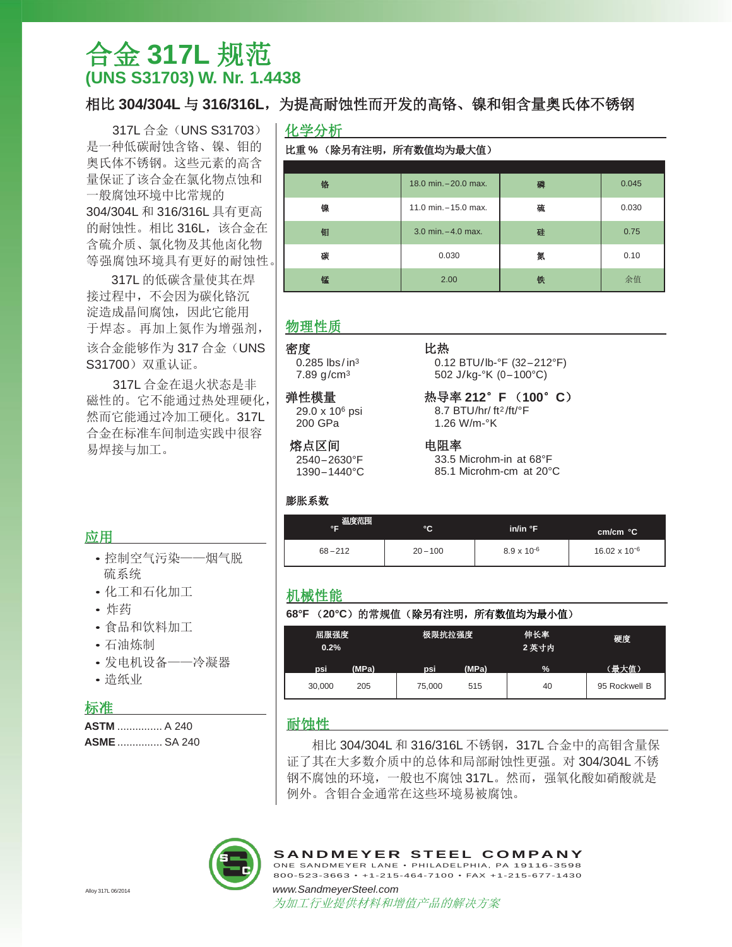# 合金 **317L** 规范 **(UNS S31703) W. Nr. 1.4438**

317L 合金 (UNS S31703) 是一种低碳耐蚀含铬、镍、钼的 奥氏体不锈钢。这些元素的高含 量保证了该合金在氯化物点蚀和 一般腐蚀环境中比常规的 304/304L 和 316/316L 具有更高 的耐蚀性。相比 316L, 该合金在 含硫介质、氯化物及其他卤化物 等强腐蚀环境具有更好的耐蚀性。

317L 的低碳含量使其在焊 接过程中,不会因为碳化铬沉 淀造成晶间腐蚀,因此它能用 于焊态。再加上氮作为增强剂, 该合金能够作为 317 合金 (UNS S31700)双重认证。

317L 合金在退火状态是非 磁性的。它不能通过热处理硬化, 然而它能通过冷加工硬化。317L 合金在标准车间制造实践中很容 易焊接与加工。

## 相比 304/304L 与 316/316L, 为提高耐蚀性而开发的高铬、镍和钼含量奥氏体不锈钢

比热

电阻率

化学分析

### 比重 **%** (除另有注明,所有数值均为最大值)

| 铬 | 18.0 min. - 20.0 max. | 磷 | 0.045 |
|---|-----------------------|---|-------|
| 镍 | 11.0 min. - 15.0 max. | 硫 | 0.030 |
| 钼 | 3.0 min. - 4.0 max.   | 硅 | 0.75  |
| 碳 | 0.030                 | 氮 | 0.10  |
| 锰 | 2.00                  | 铁 | 余值    |

### 物理性质

### 密度

0.285  $\frac{1}{2}$  lbs/in<sup>3</sup> 7.89 g/cm<sup>3</sup>

### 弹性模量

29.0 x 10<sup>6</sup> psi 200 GPa

# 熔点区间

2540– 2630°F 1390– 1440°C

## 膨胀系数

# **cm/cm °C °F °C in/in °F** 温度范围

33.5 Microhm-in at 68°F 85.1 Microhm-cm at 20°C

0.12 BTU/lb-°F (32– 212°F) 502 J/kg-°K (0– 100°C) 热导率 **212**°**F** (**100**°**C**) 8.7 BTU/hr/ ft 2 /ft/°F 1.26 W/m-°K

|            | ັ          | шиш г                | cm/cm °C               |  |
|------------|------------|----------------------|------------------------|--|
| $68 - 212$ | $20 - 100$ | $8.9 \times 10^{-6}$ | $16.02 \times 10^{-6}$ |  |
|            |            |                      |                        |  |

### 机械性能

### **68°F** (**20°C**)的常规值(除另有注明,所有数值均为最小值)

| 0.2%   | 屈服强度<br>极限抗拉强度 |        | 伸长率<br>2 英寸内 | 硬度   |               |
|--------|----------------|--------|--------------|------|---------------|
| psi    | (MPa)          | psi    | (MPa)        | $\%$ | (最大值)         |
| 30,000 | 205            | 75,000 | 515          | 40   | 95 Rockwell B |

### 耐蚀性

相比 304/304L 和 316/316L 不锈钢, 317L 合金中的高钼含量保 证了其在大多数介质中的总体和局部耐蚀性更强。对 304/304L 不锈 钢不腐蚀的环境,一般也不腐蚀 317L。然而,强氧化酸如硝酸就是 例外。含钼合金通常在这些环境易被腐蚀。



为加工行业提供材料和增值产品的解决方案

应用

- 控制空气污染——烟气脱 硫系统
- 化工和石化加工
- 炸药
- 食品和饮料加工
- 石油炼制
- 发电机设备——冷凝器
- 造纸业

## 标准

| <b>ASTM</b> A 240  |  |
|--------------------|--|
| <b>ASME</b> SA 240 |  |